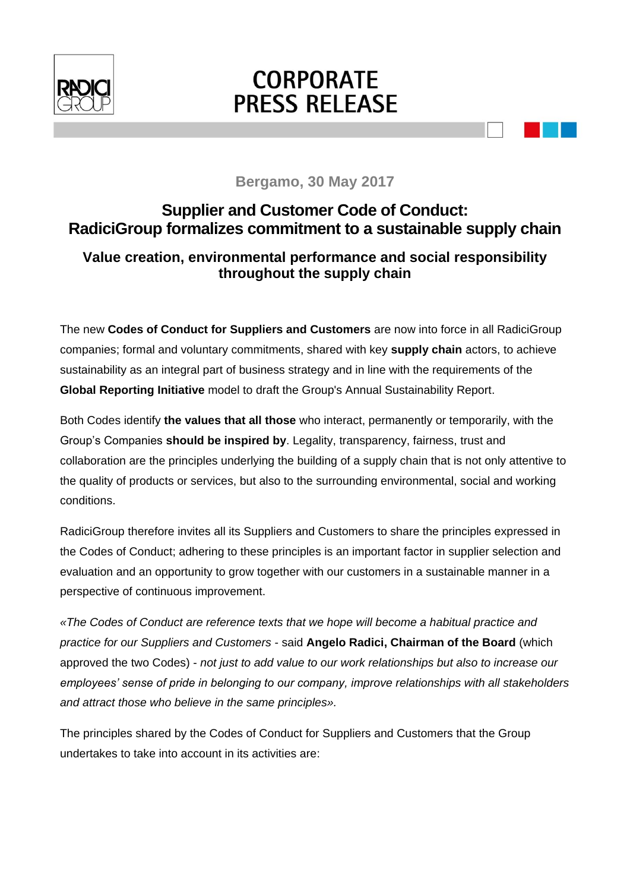

# **CORPORATE PRESS RELEASE**

### **Bergamo, 30 May 2017**

# **Supplier and Customer Code of Conduct: RadiciGroup formalizes commitment to a sustainable supply chain**

## **Value creation, environmental performance and social responsibility throughout the supply chain**

The new **Codes of Conduct for Suppliers and Customers** are now into force in all RadiciGroup companies; formal and voluntary commitments, shared with key **supply chain** actors, to achieve sustainability as an integral part of business strategy and in line with the requirements of the **Global Reporting Initiative** model to draft the Group's Annual Sustainability Report.

Both Codes identify **the values that all those** who interact, permanently or temporarily, with the Group's Companies **should be inspired by**. Legality, transparency, fairness, trust and collaboration are the principles underlying the building of a supply chain that is not only attentive to the quality of products or services, but also to the surrounding environmental, social and working conditions.

RadiciGroup therefore invites all its Suppliers and Customers to share the principles expressed in the Codes of Conduct; adhering to these principles is an important factor in supplier selection and evaluation and an opportunity to grow together with our customers in a sustainable manner in a perspective of continuous improvement.

*«The Codes of Conduct are reference texts that we hope will become a habitual practice and practice for our Suppliers and Customers* - said **Angelo Radici, Chairman of the Board** (which approved the two Codes) - *not just to add value to our work relationships but also to increase our employees' sense of pride in belonging to our company, improve relationships with all stakeholders and attract those who believe in the same principles».*

The principles shared by the Codes of Conduct for Suppliers and Customers that the Group undertakes to take into account in its activities are: